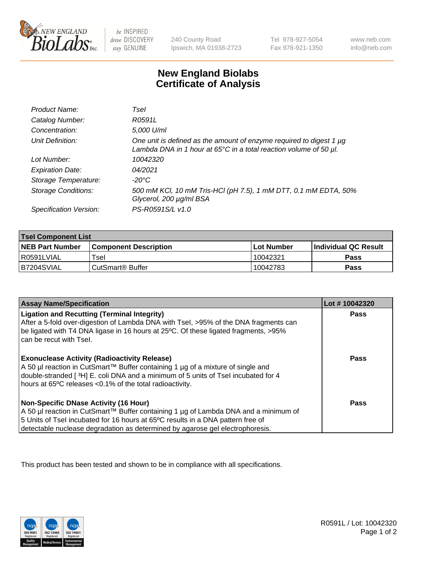

 $be$  INSPIRED drive DISCOVERY stay GENUINE

240 County Road Ipswich, MA 01938-2723 Tel 978-927-5054 Fax 978-921-1350 www.neb.com info@neb.com

## **New England Biolabs Certificate of Analysis**

| Product Name:              | Tsel                                                                                                                                                    |
|----------------------------|---------------------------------------------------------------------------------------------------------------------------------------------------------|
| Catalog Number:            | R0591L                                                                                                                                                  |
| Concentration:             | 5,000 U/ml                                                                                                                                              |
| Unit Definition:           | One unit is defined as the amount of enzyme required to digest 1 µg<br>Lambda DNA in 1 hour at $65^{\circ}$ C in a total reaction volume of 50 $\mu$ l. |
| Lot Number:                | 10042320                                                                                                                                                |
| <b>Expiration Date:</b>    | 04/2021                                                                                                                                                 |
| Storage Temperature:       | -20°C                                                                                                                                                   |
| <b>Storage Conditions:</b> | 500 mM KCl, 10 mM Tris-HCl (pH 7.5), 1 mM DTT, 0.1 mM EDTA, 50%<br>Glycerol, 200 µg/ml BSA                                                              |
| Specification Version:     | PS-R0591S/L v1.0                                                                                                                                        |

| <b>Tsel Component List</b> |                              |            |                             |  |  |
|----------------------------|------------------------------|------------|-----------------------------|--|--|
| <b>NEB Part Number</b>     | <b>Component Description</b> | Lot Number | <b>Individual QC Result</b> |  |  |
| I R0591LVIAL               | ™sel                         | 10042321   | Pass                        |  |  |
| B7204SVIAL                 | CutSmart <sup>®</sup> Buffer | 10042783   | Pass                        |  |  |

| <b>Assay Name/Specification</b>                                                                                                                                                                                                                                                                         | Lot #10042320 |
|---------------------------------------------------------------------------------------------------------------------------------------------------------------------------------------------------------------------------------------------------------------------------------------------------------|---------------|
| <b>Ligation and Recutting (Terminal Integrity)</b><br>After a 5-fold over-digestion of Lambda DNA with Tsel, >95% of the DNA fragments can<br>be ligated with T4 DNA ligase in 16 hours at 25°C. Of these ligated fragments, >95%<br>can be recut with Tsel.                                            | Pass          |
| <b>Exonuclease Activity (Radioactivity Release)</b><br>A 50 µl reaction in CutSmart™ Buffer containing 1 µg of a mixture of single and<br>double-stranded [3H] E. coli DNA and a minimum of 5 units of Tsel incubated for 4<br>hours at 65°C releases <0.1% of the total radioactivity.                 | Pass          |
| <b>Non-Specific DNase Activity (16 Hour)</b><br>A 50 µl reaction in CutSmart™ Buffer containing 1 µg of Lambda DNA and a minimum of<br>5 Units of Tsel incubated for 16 hours at 65°C results in a DNA pattern free of<br>detectable nuclease degradation as determined by agarose gel electrophoresis. | <b>Pass</b>   |

This product has been tested and shown to be in compliance with all specifications.